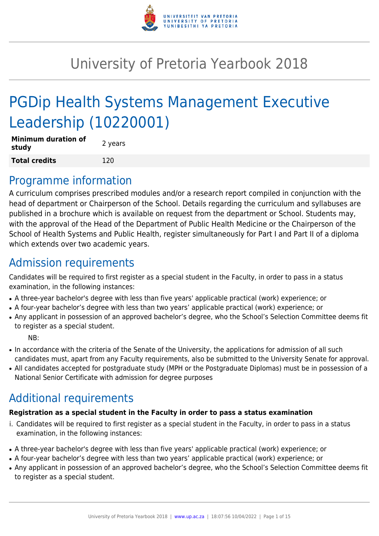

# University of Pretoria Yearbook 2018

# PGDip Health Systems Management Executive Leadership (10220001)

| <b>Minimum duration of</b><br>study | 2 years |
|-------------------------------------|---------|
| <b>Total credits</b>                | 120     |

# Programme information

A curriculum comprises prescribed modules and/or a research report compiled in conjunction with the head of department or Chairperson of the School. Details regarding the curriculum and syllabuses are published in a brochure which is available on request from the department or School. Students may, with the approval of the Head of the Department of Public Health Medicine or the Chairperson of the School of Health Systems and Public Health, register simultaneously for Part I and Part II of a diploma which extends over two academic years.

# Admission requirements

Candidates will be required to first register as a special student in the Faculty, in order to pass in a status examination, in the following instances:

- A three-year bachelor's degree with less than five years' applicable practical (work) experience; or
- A four-year bachelor's degree with less than two years' applicable practical (work) experience; or
- Any applicant in possession of an approved bachelor's degree, who the School's Selection Committee deems fit to register as a special student.

NB:

- In accordance with the criteria of the Senate of the University, the applications for admission of all such candidates must, apart from any Faculty requirements, also be submitted to the University Senate for approval.
- All candidates accepted for postgraduate study (MPH or the Postgraduate Diplomas) must be in possession of a National Senior Certificate with admission for degree purposes

# Additional requirements

# **Registration as a special student in the Faculty in order to pass a status examination**

- i. Candidates will be required to first register as a special student in the Faculty, in order to pass in a status examination, in the following instances:
- A three-year bachelor's degree with less than five years' applicable practical (work) experience; or
- A four-year bachelor's degree with less than two years' applicable practical (work) experience; or
- Any applicant in possession of an approved bachelor's degree, who the School's Selection Committee deems fit to register as a special student.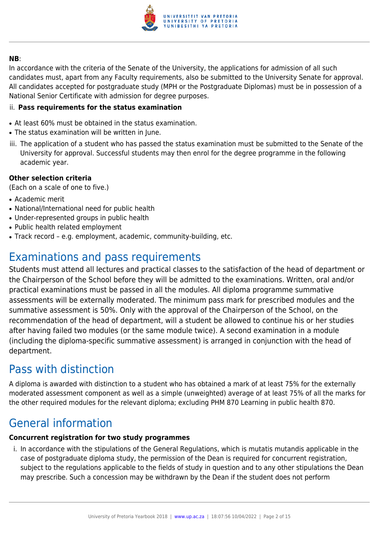

#### **NB**:

In accordance with the criteria of the Senate of the University, the applications for admission of all such candidates must, apart from any Faculty requirements, also be submitted to the University Senate for approval. All candidates accepted for postgraduate study (MPH or the Postgraduate Diplomas) must be in possession of a National Senior Certificate with admission for degree purposes.

#### ii. **Pass requirements for the status examination**

- At least 60% must be obtained in the status examination.
- The status examination will be written in June.
- iii. The application of a student who has passed the status examination must be submitted to the Senate of the University for approval. Successful students may then enrol for the degree programme in the following academic year.

#### **Other selection criteria**

(Each on a scale of one to five.)

- Academic merit
- National/International need for public health
- Under-represented groups in public health
- Public health related employment
- Track record e.g. employment, academic, community-building, etc.

# Examinations and pass requirements

Students must attend all lectures and practical classes to the satisfaction of the head of department or the Chairperson of the School before they will be admitted to the examinations. Written, oral and/or practical examinations must be passed in all the modules. All diploma programme summative assessments will be externally moderated. The minimum pass mark for prescribed modules and the summative assessment is 50%. Only with the approval of the Chairperson of the School, on the recommendation of the head of department, will a student be allowed to continue his or her studies after having failed two modules (or the same module twice). A second examination in a module (including the diploma-specific summative assessment) is arranged in conjunction with the head of department.

# Pass with distinction

A diploma is awarded with distinction to a student who has obtained a mark of at least 75% for the externally moderated assessment component as well as a simple (unweighted) average of at least 75% of all the marks for the other required modules for the relevant diploma; excluding PHM 870 Learning in public health 870.

# General information

# **Concurrent registration for two study programmes**

i. In accordance with the stipulations of the General Regulations, which is mutatis mutandis applicable in the case of postgraduate diploma study, the permission of the Dean is required for concurrent registration, subject to the regulations applicable to the fields of study in question and to any other stipulations the Dean may prescribe. Such a concession may be withdrawn by the Dean if the student does not perform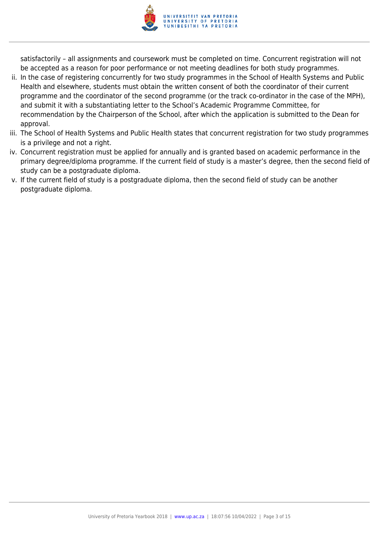

satisfactorily – all assignments and coursework must be completed on time. Concurrent registration will not be accepted as a reason for poor performance or not meeting deadlines for both study programmes.

- ii. In the case of registering concurrently for two study programmes in the School of Health Systems and Public Health and elsewhere, students must obtain the written consent of both the coordinator of their current programme and the coordinator of the second programme (or the track co-ordinator in the case of the MPH), and submit it with a substantiating letter to the School's Academic Programme Committee, for recommendation by the Chairperson of the School, after which the application is submitted to the Dean for approval.
- iii. The School of Health Systems and Public Health states that concurrent registration for two study programmes is a privilege and not a right.
- iv. Concurrent registration must be applied for annually and is granted based on academic performance in the primary degree/diploma programme. If the current field of study is a master's degree, then the second field of study can be a postgraduate diploma.
- v. If the current field of study is a postgraduate diploma, then the second field of study can be another postgraduate diploma.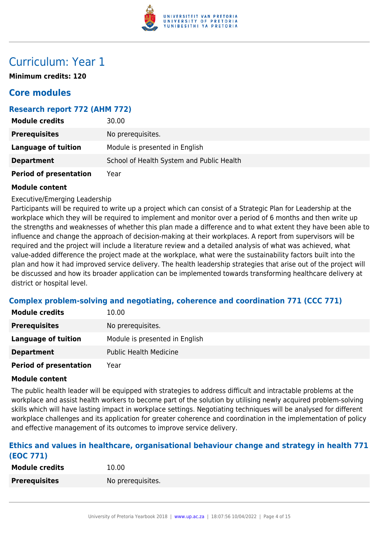

# Curriculum: Year 1

**Minimum credits: 120**

# **Core modules**

# **Research report 772 (AHM 772)**

| <b>Module credits</b>         | 30.00                                     |
|-------------------------------|-------------------------------------------|
| <b>Prerequisites</b>          | No prerequisites.                         |
| <b>Language of tuition</b>    | Module is presented in English            |
| <b>Department</b>             | School of Health System and Public Health |
| <b>Period of presentation</b> | Year                                      |

#### **Module content**

Executive/Emerging Leadership

Participants will be required to write up a project which can consist of a Strategic Plan for Leadership at the workplace which they will be required to implement and monitor over a period of 6 months and then write up the strengths and weaknesses of whether this plan made a difference and to what extent they have been able to influence and change the approach of decision-making at their workplaces. A report from supervisors will be required and the project will include a literature review and a detailed analysis of what was achieved, what value-added difference the project made at the workplace, what were the sustainability factors built into the plan and how it had improved service delivery. The health leadership strategies that arise out of the project will be discussed and how its broader application can be implemented towards transforming healthcare delivery at district or hospital level.

# **Complex problem-solving and negotiating, coherence and coordination 771 (CCC 771)**

| <b>Module credits</b>         | 10.00                          |
|-------------------------------|--------------------------------|
| <b>Prerequisites</b>          | No prerequisites.              |
| Language of tuition           | Module is presented in English |
| <b>Department</b>             | <b>Public Health Medicine</b>  |
| <b>Period of presentation</b> | Year                           |

#### **Module content**

The public health leader will be equipped with strategies to address difficult and intractable problems at the workplace and assist health workers to become part of the solution by utilising newly acquired problem-solving skills which will have lasting impact in workplace settings. Negotiating techniques will be analysed for different workplace challenges and its application for greater coherence and coordination in the implementation of policy and effective management of its outcomes to improve service delivery.

### **Ethics and values in healthcare, organisational behaviour change and strategy in health 771 (EOC 771)**

| <b>Module credits</b> | 10.00             |
|-----------------------|-------------------|
| <b>Prerequisites</b>  | No prerequisites. |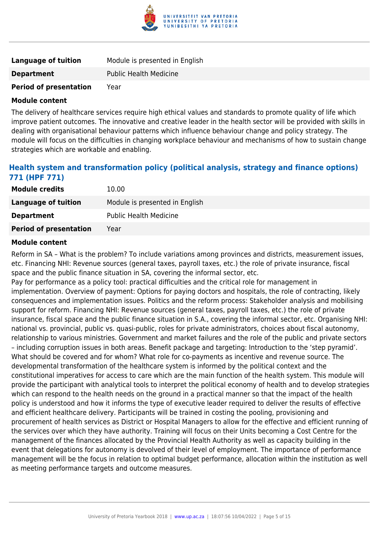

| Language of tuition           | Module is presented in English |
|-------------------------------|--------------------------------|
| <b>Department</b>             | <b>Public Health Medicine</b>  |
| <b>Period of presentation</b> | Year                           |

The delivery of healthcare services require high ethical values and standards to promote quality of life which improve patient outcomes. The innovative and creative leader in the health sector will be provided with skills in dealing with organisational behaviour patterns which influence behaviour change and policy strategy. The module will focus on the difficulties in changing workplace behaviour and mechanisms of how to sustain change strategies which are workable and enabling.

# **Health system and transformation policy (political analysis, strategy and finance options) 771 (HPF 771)**

| <b>Module credits</b>         | 10.00                          |
|-------------------------------|--------------------------------|
| Language of tuition           | Module is presented in English |
| <b>Department</b>             | <b>Public Health Medicine</b>  |
| <b>Period of presentation</b> | Year                           |

#### **Module content**

Reform in SA – What is the problem? To include variations among provinces and districts, measurement issues, etc. Financing NHI: Revenue sources (general taxes, payroll taxes, etc.) the role of private insurance, fiscal space and the public finance situation in SA, covering the informal sector, etc.

Pay for performance as a policy tool: practical difficulties and the critical role for management in implementation. Overview of payment: Options for paying doctors and hospitals, the role of contracting, likely consequences and implementation issues. Politics and the reform process: Stakeholder analysis and mobilising support for reform. Financing NHI: Revenue sources (general taxes, payroll taxes, etc.) the role of private insurance, fiscal space and the public finance situation in S.A., covering the informal sector, etc. Organising NHI: national vs. provincial, public vs. quasi-public, roles for private administrators, choices about fiscal autonomy, relationship to various ministries. Government and market failures and the role of the public and private sectors – including corruption issues in both areas. Benefit package and targeting: Introduction to the 'step pyramid'. What should be covered and for whom? What role for co-payments as incentive and revenue source. The developmental transformation of the healthcare system is informed by the political context and the constitutional imperatives for access to care which are the main function of the health system. This module will provide the participant with analytical tools to interpret the political economy of health and to develop strategies which can respond to the health needs on the ground in a practical manner so that the impact of the health policy is understood and how it informs the type of executive leader required to deliver the results of effective and efficient healthcare delivery. Participants will be trained in costing the pooling, provisioning and procurement of health services as District or Hospital Managers to allow for the effective and efficient running of the services over which they have authority. Training will focus on their Units becoming a Cost Centre for the management of the finances allocated by the Provincial Health Authority as well as capacity building in the event that delegations for autonomy is devolved of their level of employment. The importance of performance management will be the focus in relation to optimal budget performance, allocation within the institution as well as meeting performance targets and outcome measures.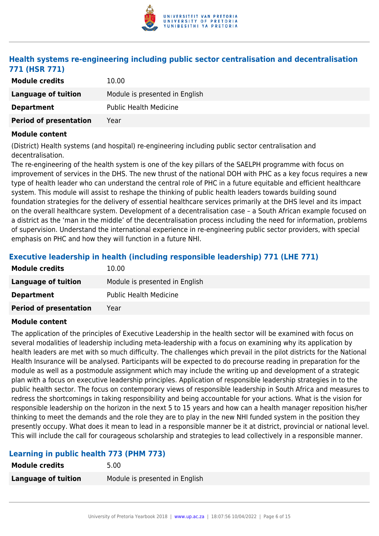

# **Health systems re-engineering including public sector centralisation and decentralisation 771 (HSR 771)**

| <b>Module credits</b>         | 10.00                          |
|-------------------------------|--------------------------------|
| Language of tuition           | Module is presented in English |
| <b>Department</b>             | <b>Public Health Medicine</b>  |
| <b>Period of presentation</b> | Year                           |

#### **Module content**

(District) Health systems (and hospital) re-engineering including public sector centralisation and decentralisation.

The re-engineering of the health system is one of the key pillars of the SAELPH programme with focus on improvement of services in the DHS. The new thrust of the national DOH with PHC as a key focus requires a new type of health leader who can understand the central role of PHC in a future equitable and efficient healthcare system. This module will assist to reshape the thinking of public health leaders towards building sound foundation strategies for the delivery of essential healthcare services primarily at the DHS level and its impact on the overall healthcare system. Development of a decentralisation case – a South African example focused on a district as the 'man in the middle' of the decentralisation process including the need for information, problems of supervision. Understand the international experience in re-engineering public sector providers, with special emphasis on PHC and how they will function in a future NHI.

# **Executive leadership in health (including responsible leadership) 771 (LHE 771)**

| 10.00                          |
|--------------------------------|
| Module is presented in English |
| <b>Public Health Medicine</b>  |
| Year                           |
|                                |

#### **Module content**

The application of the principles of Executive Leadership in the health sector will be examined with focus on several modalities of leadership including meta-leadership with a focus on examining why its application by health leaders are met with so much difficulty. The challenges which prevail in the pilot districts for the National Health Insurance will be analysed. Participants will be expected to do precourse reading in preparation for the module as well as a postmodule assignment which may include the writing up and development of a strategic plan with a focus on executive leadership principles. Application of responsible leadership strategies in to the public health sector. The focus on contemporary views of responsible leadership in South Africa and measures to redress the shortcomings in taking responsibility and being accountable for your actions. What is the vision for responsible leadership on the horizon in the next 5 to 15 years and how can a health manager reposition his/her thinking to meet the demands and the role they are to play in the new NHI funded system in the position they presently occupy. What does it mean to lead in a responsible manner be it at district, provincial or national level. This will include the call for courageous scholarship and strategies to lead collectively in a responsible manner.

# **Learning in public health 773 (PHM 773)**

| <b>Module credits</b> | 5.00                           |
|-----------------------|--------------------------------|
| Language of tuition   | Module is presented in English |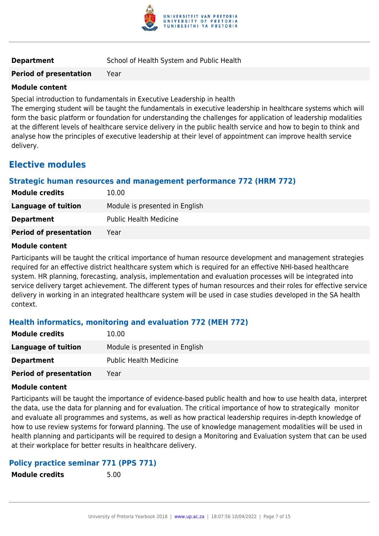

**Period of presentation** Year

### **Module content**

Special introduction to fundamentals in Executive Leadership in health

The emerging student will be taught the fundamentals in executive leadership in healthcare systems which will form the basic platform or foundation for understanding the challenges for application of leadership modalities at the different levels of healthcare service delivery in the public health service and how to begin to think and analyse how the principles of executive leadership at their level of appointment can improve health service delivery.

# **Elective modules**

# **Strategic human resources and management performance 772 (HRM 772)**

| <b>Module credits</b>         | 10.00                          |
|-------------------------------|--------------------------------|
| Language of tuition           | Module is presented in English |
| <b>Department</b>             | <b>Public Health Medicine</b>  |
| <b>Period of presentation</b> | Year                           |

#### **Module content**

Participants will be taught the critical importance of human resource development and management strategies required for an effective district healthcare system which is required for an effective NHI-based healthcare system. HR planning, forecasting, analysis, implementation and evaluation processes will be integrated into service delivery target achievement. The different types of human resources and their roles for effective service delivery in working in an integrated healthcare system will be used in case studies developed in the SA health context.

# **Health informatics, monitoring and evaluation 772 (MEH 772)**

| <b>Module credits</b>         | 10.00                          |
|-------------------------------|--------------------------------|
| Language of tuition           | Module is presented in English |
| <b>Department</b>             | <b>Public Health Medicine</b>  |
| <b>Period of presentation</b> | Year                           |

#### **Module content**

Participants will be taught the importance of evidence-based public health and how to use health data, interpret the data, use the data for planning and for evaluation. The critical importance of how to strategically monitor and evaluate all programmes and systems, as well as how practical leadership requires in-depth knowledge of how to use review systems for forward planning. The use of knowledge management modalities will be used in health planning and participants will be required to design a Monitoring and Evaluation system that can be used at their workplace for better results in healthcare delivery.

# **Policy practice seminar 771 (PPS 771)**

**Module credits** 5.00

University of Pretoria Yearbook 2018 | [www.up.ac.za](https://www.up.ac.za/yearbooks/home) | 18:07:56 10/04/2022 | Page 7 of 15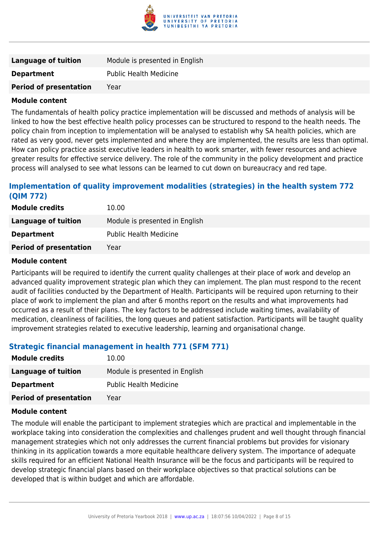

| <b>Language of tuition</b>    | Module is presented in English |
|-------------------------------|--------------------------------|
| <b>Department</b>             | <b>Public Health Medicine</b>  |
| <b>Period of presentation</b> | Year                           |

The fundamentals of health policy practice implementation will be discussed and methods of analysis will be linked to how the best effective health policy processes can be structured to respond to the health needs. The policy chain from inception to implementation will be analysed to establish why SA health policies, which are rated as very good, never gets implemented and where they are implemented, the results are less than optimal. How can policy practice assist executive leaders in health to work smarter, with fewer resources and achieve greater results for effective service delivery. The role of the community in the policy development and practice process will analysed to see what lessons can be learned to cut down on bureaucracy and red tape.

# **Implementation of quality improvement modalities (strategies) in the health system 772 (QIM 772)**

| <b>Module credits</b>         | 10.00                          |
|-------------------------------|--------------------------------|
| Language of tuition           | Module is presented in English |
| <b>Department</b>             | <b>Public Health Medicine</b>  |
| <b>Period of presentation</b> | Year                           |

#### **Module content**

Participants will be required to identify the current quality challenges at their place of work and develop an advanced quality improvement strategic plan which they can implement. The plan must respond to the recent audit of facilities conducted by the Department of Health. Participants will be required upon returning to their place of work to implement the plan and after 6 months report on the results and what improvements had occurred as a result of their plans. The key factors to be addressed include waiting times, availability of medication, cleanliness of facilities, the long queues and patient satisfaction. Participants will be taught quality improvement strategies related to executive leadership, learning and organisational change.

# **Strategic financial management in health 771 (SFM 771)**

| <b>Module credits</b>         | 10.00                          |
|-------------------------------|--------------------------------|
| Language of tuition           | Module is presented in English |
| <b>Department</b>             | <b>Public Health Medicine</b>  |
| <b>Period of presentation</b> | Year                           |

#### **Module content**

The module will enable the participant to implement strategies which are practical and implementable in the workplace taking into consideration the complexities and challenges prudent and well thought through financial management strategies which not only addresses the current financial problems but provides for visionary thinking in its application towards a more equitable healthcare delivery system. The importance of adequate skills required for an efficient National Health Insurance will be the focus and participants will be required to develop strategic financial plans based on their workplace objectives so that practical solutions can be developed that is within budget and which are affordable.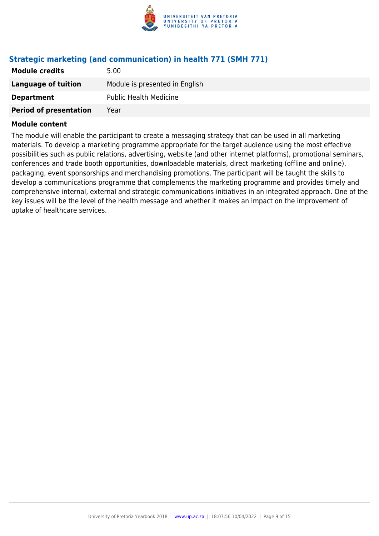

# **Strategic marketing (and communication) in health 771 (SMH 771)**

| <b>Module credits</b>         | 5.00                           |
|-------------------------------|--------------------------------|
| Language of tuition           | Module is presented in English |
| <b>Department</b>             | <b>Public Health Medicine</b>  |
| <b>Period of presentation</b> | Year                           |

#### **Module content**

The module will enable the participant to create a messaging strategy that can be used in all marketing materials. To develop a marketing programme appropriate for the target audience using the most effective possibilities such as public relations, advertising, website (and other internet platforms), promotional seminars, conferences and trade booth opportunities, downloadable materials, direct marketing (offline and online), packaging, event sponsorships and merchandising promotions. The participant will be taught the skills to develop a communications programme that complements the marketing programme and provides timely and comprehensive internal, external and strategic communications initiatives in an integrated approach. One of the key issues will be the level of the health message and whether it makes an impact on the improvement of uptake of healthcare services.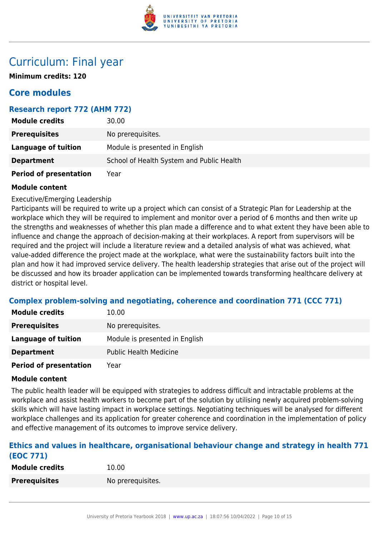

# Curriculum: Final year

**Minimum credits: 120**

# **Core modules**

# **Research report 772 (AHM 772)**

| <b>Module credits</b>         | 30.00                                     |
|-------------------------------|-------------------------------------------|
| <b>Prerequisites</b>          | No prerequisites.                         |
| <b>Language of tuition</b>    | Module is presented in English            |
| <b>Department</b>             | School of Health System and Public Health |
| <b>Period of presentation</b> | Year                                      |

#### **Module content**

Executive/Emerging Leadership

Participants will be required to write up a project which can consist of a Strategic Plan for Leadership at the workplace which they will be required to implement and monitor over a period of 6 months and then write up the strengths and weaknesses of whether this plan made a difference and to what extent they have been able to influence and change the approach of decision-making at their workplaces. A report from supervisors will be required and the project will include a literature review and a detailed analysis of what was achieved, what value-added difference the project made at the workplace, what were the sustainability factors built into the plan and how it had improved service delivery. The health leadership strategies that arise out of the project will be discussed and how its broader application can be implemented towards transforming healthcare delivery at district or hospital level.

# **Complex problem-solving and negotiating, coherence and coordination 771 (CCC 771)**

| <b>Module credits</b>         | 10.00                          |
|-------------------------------|--------------------------------|
| <b>Prerequisites</b>          | No prerequisites.              |
| Language of tuition           | Module is presented in English |
| <b>Department</b>             | <b>Public Health Medicine</b>  |
| <b>Period of presentation</b> | Year                           |

#### **Module content**

The public health leader will be equipped with strategies to address difficult and intractable problems at the workplace and assist health workers to become part of the solution by utilising newly acquired problem-solving skills which will have lasting impact in workplace settings. Negotiating techniques will be analysed for different workplace challenges and its application for greater coherence and coordination in the implementation of policy and effective management of its outcomes to improve service delivery.

### **Ethics and values in healthcare, organisational behaviour change and strategy in health 771 (EOC 771)**

| <b>Module credits</b> | 10.00             |
|-----------------------|-------------------|
| <b>Prerequisites</b>  | No prerequisites. |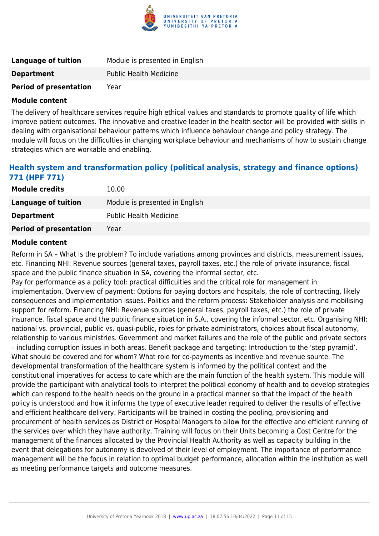

| Language of tuition           | Module is presented in English |
|-------------------------------|--------------------------------|
| <b>Department</b>             | <b>Public Health Medicine</b>  |
| <b>Period of presentation</b> | Year                           |

The delivery of healthcare services require high ethical values and standards to promote quality of life which improve patient outcomes. The innovative and creative leader in the health sector will be provided with skills in dealing with organisational behaviour patterns which influence behaviour change and policy strategy. The module will focus on the difficulties in changing workplace behaviour and mechanisms of how to sustain change strategies which are workable and enabling.

# **Health system and transformation policy (political analysis, strategy and finance options) 771 (HPF 771)**

| <b>Module credits</b>         | 10.00                          |
|-------------------------------|--------------------------------|
| Language of tuition           | Module is presented in English |
| <b>Department</b>             | <b>Public Health Medicine</b>  |
| <b>Period of presentation</b> | Year                           |

#### **Module content**

Reform in SA – What is the problem? To include variations among provinces and districts, measurement issues, etc. Financing NHI: Revenue sources (general taxes, payroll taxes, etc.) the role of private insurance, fiscal space and the public finance situation in SA, covering the informal sector, etc.

Pay for performance as a policy tool: practical difficulties and the critical role for management in implementation. Overview of payment: Options for paying doctors and hospitals, the role of contracting, likely consequences and implementation issues. Politics and the reform process: Stakeholder analysis and mobilising support for reform. Financing NHI: Revenue sources (general taxes, payroll taxes, etc.) the role of private insurance, fiscal space and the public finance situation in S.A., covering the informal sector, etc. Organising NHI: national vs. provincial, public vs. quasi-public, roles for private administrators, choices about fiscal autonomy, relationship to various ministries. Government and market failures and the role of the public and private sectors – including corruption issues in both areas. Benefit package and targeting: Introduction to the 'step pyramid'. What should be covered and for whom? What role for co-payments as incentive and revenue source. The developmental transformation of the healthcare system is informed by the political context and the constitutional imperatives for access to care which are the main function of the health system. This module will provide the participant with analytical tools to interpret the political economy of health and to develop strategies which can respond to the health needs on the ground in a practical manner so that the impact of the health policy is understood and how it informs the type of executive leader required to deliver the results of effective and efficient healthcare delivery. Participants will be trained in costing the pooling, provisioning and procurement of health services as District or Hospital Managers to allow for the effective and efficient running of the services over which they have authority. Training will focus on their Units becoming a Cost Centre for the management of the finances allocated by the Provincial Health Authority as well as capacity building in the event that delegations for autonomy is devolved of their level of employment. The importance of performance management will be the focus in relation to optimal budget performance, allocation within the institution as well as meeting performance targets and outcome measures.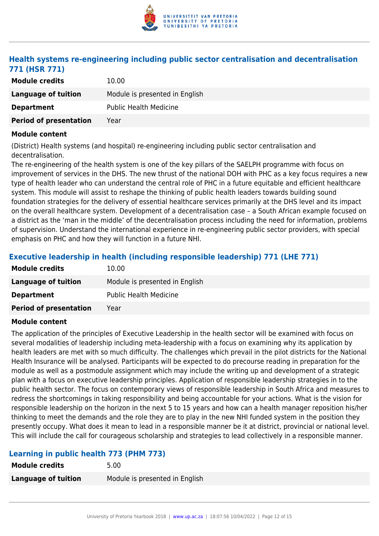

# **Health systems re-engineering including public sector centralisation and decentralisation 771 (HSR 771)**

| <b>Module credits</b>         | 10.00                          |
|-------------------------------|--------------------------------|
| Language of tuition           | Module is presented in English |
| <b>Department</b>             | <b>Public Health Medicine</b>  |
| <b>Period of presentation</b> | Year                           |

#### **Module content**

(District) Health systems (and hospital) re-engineering including public sector centralisation and decentralisation.

The re-engineering of the health system is one of the key pillars of the SAELPH programme with focus on improvement of services in the DHS. The new thrust of the national DOH with PHC as a key focus requires a new type of health leader who can understand the central role of PHC in a future equitable and efficient healthcare system. This module will assist to reshape the thinking of public health leaders towards building sound foundation strategies for the delivery of essential healthcare services primarily at the DHS level and its impact on the overall healthcare system. Development of a decentralisation case – a South African example focused on a district as the 'man in the middle' of the decentralisation process including the need for information, problems of supervision. Understand the international experience in re-engineering public sector providers, with special emphasis on PHC and how they will function in a future NHI.

# **Executive leadership in health (including responsible leadership) 771 (LHE 771)**

| 10.00                          |
|--------------------------------|
| Module is presented in English |
| <b>Public Health Medicine</b>  |
| Year                           |
|                                |

#### **Module content**

The application of the principles of Executive Leadership in the health sector will be examined with focus on several modalities of leadership including meta-leadership with a focus on examining why its application by health leaders are met with so much difficulty. The challenges which prevail in the pilot districts for the National Health Insurance will be analysed. Participants will be expected to do precourse reading in preparation for the module as well as a postmodule assignment which may include the writing up and development of a strategic plan with a focus on executive leadership principles. Application of responsible leadership strategies in to the public health sector. The focus on contemporary views of responsible leadership in South Africa and measures to redress the shortcomings in taking responsibility and being accountable for your actions. What is the vision for responsible leadership on the horizon in the next 5 to 15 years and how can a health manager reposition his/her thinking to meet the demands and the role they are to play in the new NHI funded system in the position they presently occupy. What does it mean to lead in a responsible manner be it at district, provincial or national level. This will include the call for courageous scholarship and strategies to lead collectively in a responsible manner.

# **Learning in public health 773 (PHM 773)**

| <b>Module credits</b> | 5.00                           |
|-----------------------|--------------------------------|
| Language of tuition   | Module is presented in English |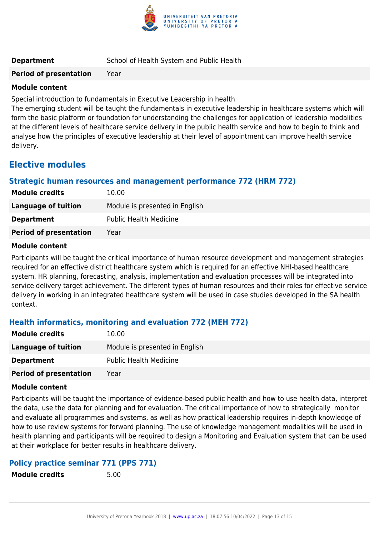

**Period of presentation** Year

### **Module content**

Special introduction to fundamentals in Executive Leadership in health

The emerging student will be taught the fundamentals in executive leadership in healthcare systems which will form the basic platform or foundation for understanding the challenges for application of leadership modalities at the different levels of healthcare service delivery in the public health service and how to begin to think and analyse how the principles of executive leadership at their level of appointment can improve health service delivery.

# **Elective modules**

# **Strategic human resources and management performance 772 (HRM 772)**

| <b>Module credits</b>         | 10.00                          |
|-------------------------------|--------------------------------|
| Language of tuition           | Module is presented in English |
| <b>Department</b>             | <b>Public Health Medicine</b>  |
| <b>Period of presentation</b> | Year                           |

#### **Module content**

Participants will be taught the critical importance of human resource development and management strategies required for an effective district healthcare system which is required for an effective NHI-based healthcare system. HR planning, forecasting, analysis, implementation and evaluation processes will be integrated into service delivery target achievement. The different types of human resources and their roles for effective service delivery in working in an integrated healthcare system will be used in case studies developed in the SA health context.

# **Health informatics, monitoring and evaluation 772 (MEH 772)**

| <b>Module credits</b>         | 10.00                          |
|-------------------------------|--------------------------------|
| Language of tuition           | Module is presented in English |
| <b>Department</b>             | <b>Public Health Medicine</b>  |
| <b>Period of presentation</b> | Year                           |

#### **Module content**

Participants will be taught the importance of evidence-based public health and how to use health data, interpret the data, use the data for planning and for evaluation. The critical importance of how to strategically monitor and evaluate all programmes and systems, as well as how practical leadership requires in-depth knowledge of how to use review systems for forward planning. The use of knowledge management modalities will be used in health planning and participants will be required to design a Monitoring and Evaluation system that can be used at their workplace for better results in healthcare delivery.

# **Policy practice seminar 771 (PPS 771)**

**Module credits** 5.00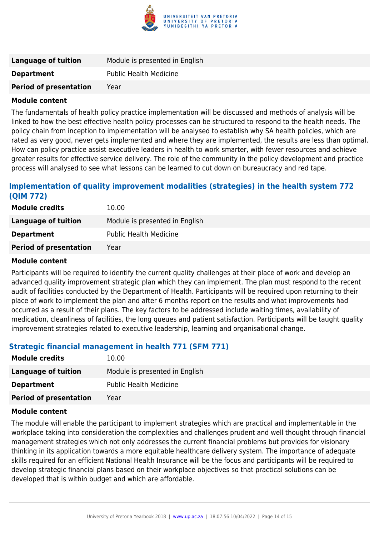

| <b>Language of tuition</b>    | Module is presented in English |
|-------------------------------|--------------------------------|
| <b>Department</b>             | <b>Public Health Medicine</b>  |
| <b>Period of presentation</b> | Year                           |

The fundamentals of health policy practice implementation will be discussed and methods of analysis will be linked to how the best effective health policy processes can be structured to respond to the health needs. The policy chain from inception to implementation will be analysed to establish why SA health policies, which are rated as very good, never gets implemented and where they are implemented, the results are less than optimal. How can policy practice assist executive leaders in health to work smarter, with fewer resources and achieve greater results for effective service delivery. The role of the community in the policy development and practice process will analysed to see what lessons can be learned to cut down on bureaucracy and red tape.

# **Implementation of quality improvement modalities (strategies) in the health system 772 (QIM 772)**

| <b>Module credits</b>         | 10.00                          |
|-------------------------------|--------------------------------|
| Language of tuition           | Module is presented in English |
| <b>Department</b>             | <b>Public Health Medicine</b>  |
| <b>Period of presentation</b> | Year                           |

#### **Module content**

Participants will be required to identify the current quality challenges at their place of work and develop an advanced quality improvement strategic plan which they can implement. The plan must respond to the recent audit of facilities conducted by the Department of Health. Participants will be required upon returning to their place of work to implement the plan and after 6 months report on the results and what improvements had occurred as a result of their plans. The key factors to be addressed include waiting times, availability of medication, cleanliness of facilities, the long queues and patient satisfaction. Participants will be taught quality improvement strategies related to executive leadership, learning and organisational change.

# **Strategic financial management in health 771 (SFM 771)**

| <b>Module credits</b>         | 10.00                          |
|-------------------------------|--------------------------------|
| <b>Language of tuition</b>    | Module is presented in English |
| <b>Department</b>             | <b>Public Health Medicine</b>  |
| <b>Period of presentation</b> | Year                           |

#### **Module content**

The module will enable the participant to implement strategies which are practical and implementable in the workplace taking into consideration the complexities and challenges prudent and well thought through financial management strategies which not only addresses the current financial problems but provides for visionary thinking in its application towards a more equitable healthcare delivery system. The importance of adequate skills required for an efficient National Health Insurance will be the focus and participants will be required to develop strategic financial plans based on their workplace objectives so that practical solutions can be developed that is within budget and which are affordable.